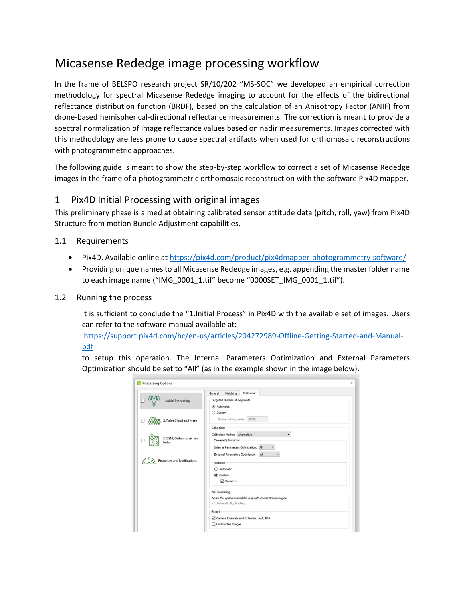# Micasense Rededge image processing workflow

In the frame of BELSPO research project SR/10/202 "MS-SOC" we developed an empirical correction methodology for spectral Micasense Rededge imaging to account for the effects of the bidirectional reflectance distribution function (BRDF), based on the calculation of an Anisotropy Factor (ANIF) from drone-based hemispherical-directional reflectance measurements. The correction is meant to provide a spectral normalization of image reflectance values based on nadir measurements. Images corrected with this methodology are less prone to cause spectral artifacts when used for orthomosaic reconstructions with photogrammetric approaches.

The following guide is meant to show the step-by-step workflow to correct a set of Micasense Rededge images in the frame of a photogrammetric orthomosaic reconstruction with the software Pix4D mapper.

### 1 Pix4D Initial Processing with original images

This preliminary phase is aimed at obtaining calibrated sensor attitude data (pitch, roll, yaw) from Pix4D Structure from motion Bundle Adjustment capabilities.

#### 1.1 Requirements

- Pix4D. Available online at <https://pix4d.com/product/pix4dmapper-photogrammetry-software/>
- Providing unique names to all Micasense Rededge images, e.g. appending the master folder name to each image name ("IMG\_0001\_1.tif" become "0000SET\_IMG\_0001\_1.tif").
- 1.2 Running the process

It is sufficient to conclude the "1.Initial Process" in Pix4D with the available set of images. Users can refer to the software manual available at:

[https://support.pix4d.com/hc/en-us/articles/204272989-Offline-Getting-Started-and-Manual](https://support.pix4d.com/hc/en-us/articles/204272989-Offline-Getting-Started-and-Manual-pdf)[pdf](https://support.pix4d.com/hc/en-us/articles/204272989-Offline-Getting-Started-and-Manual-pdf)

to setup this operation. The Internal Parameters Optimization and External Parameters Optimization should be set to "All" (as in the example shown in the image below).

|                                    | Calibration<br>Matching<br>General                                                                            |  |
|------------------------------------|---------------------------------------------------------------------------------------------------------------|--|
| 1. Initial Processing              | Targeted Number of Keypoints<br>Automatic                                                                     |  |
| 2. Point Cloud and Mesh            | $\bigcirc$ Custom<br>Number of Keypoints: 10000                                                               |  |
| 3. DSM, Orthomosaic and<br>Index   | Calibration<br>Calibration Method Alternative<br>Camera Optimization<br>Internal Parameters Optimization: All |  |
| <b>Resources and Notifications</b> | External Parameters Optimization: All<br>٠<br>Rematch<br>○ Automatic<br>Custom                                |  |
|                                    | $\boxdot$ Rematch<br>Pre-Processing                                                                           |  |
|                                    | Note: this option is available only with Parrot Bebop images.<br>Automatic Sky Masking                        |  |
|                                    | Export<br>Camera Internals and Externals, AAT, BBA                                                            |  |
|                                    | Undistorted Images                                                                                            |  |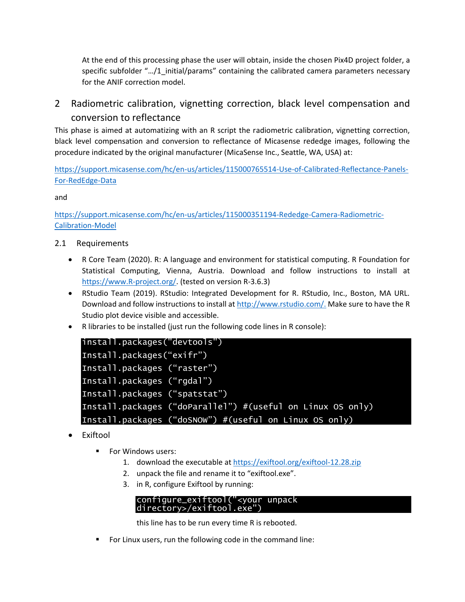At the end of this processing phase the user will obtain, inside the chosen Pix4D project folder, a specific subfolder ".../1\_initial/params" containing the calibrated camera parameters necessary for the ANIF correction model.

2 Radiometric calibration, vignetting correction, black level compensation and conversion to reflectance

This phase is aimed at automatizing with an R script the radiometric calibration, vignetting correction, black level compensation and conversion to reflectance of Micasense rededge images, following the procedure indicated by the original manufacturer (MicaSense Inc., Seattle, WA, USA) at:

[https://support.micasense.com/hc/en-us/articles/115000765514-Use-of-Calibrated-Reflectance-Panels-](https://support.micasense.com/hc/en-us/articles/115000765514-Use-of-Calibrated-Reflectance-Panels-For-RedEdge-Data)[For-RedEdge-Data](https://support.micasense.com/hc/en-us/articles/115000765514-Use-of-Calibrated-Reflectance-Panels-For-RedEdge-Data)

and

[https://support.micasense.com/hc/en-us/articles/115000351194-Rededge-Camera-Radiometric-](https://support.micasense.com/hc/en-us/articles/115000351194-Rededge-Camera-Radiometric-Calibration-Model)[Calibration-Model](https://support.micasense.com/hc/en-us/articles/115000351194-Rededge-Camera-Radiometric-Calibration-Model)

#### 2.1 Requirements

- R Core Team (2020). R: A language and environment for statistical computing. R Foundation for Statistical Computing, Vienna, Austria. Download and follow instructions to install at [https://www.R-project.org/.](https://www.r-project.org/) (tested on version R-3.6.3)
- RStudio Team (2019). RStudio: Integrated Development for R. RStudio, Inc., Boston, MA URL. Download and follow instructions to install at [http://www.rstudio.com/.](http://www.rstudio.com/) Make sure to have the R Studio plot device visible and accessible.
- R libraries to be installed (just run the following code lines in R console):

| install.packages("devtools")                                |
|-------------------------------------------------------------|
| Install.packages("exifr")                                   |
| Install.packages ("raster")                                 |
| Install.packages ("rgdal")                                  |
| Install.packages ("spatstat")                               |
| Install.packages ("doParallel") # (useful on Linux OS only) |
| Install.packages $("dosnow")$ # (useful on Linux OS only)   |

- **Exiftool** 
	- For Windows users:
		- 1. download the executable at<https://exiftool.org/exiftool-12.28.zip>
		- 2. unpack the file and rename it to "exiftool.exe".
		- 3. in R, configure Exiftool by running:

#### configure\_exiftool("<your unpack directory>/exiftool.exe")

this line has to be run every time R is rebooted.

▪ For Linux users, run the following code in the command line: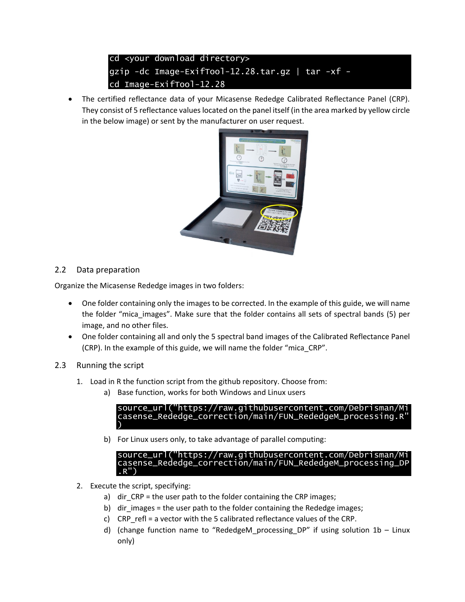## cd <your download directory> gzip -dc Image-ExifTool-12.28.tar.gz | tar -xf cd Image-ExifTool-12.28

• The certified reflectance data of your Micasense Rededge Calibrated Reflectance Panel (CRP). They consist of 5 reflectance values located on the panel itself (in the area marked by yellow circle in the below image) or sent by the manufacturer on user request.



## 2.2 Data preparation

Organize the Micasense Rededge images in two folders:

- One folder containing only the images to be corrected. In the example of this guide, we will name the folder "mica\_images". Make sure that the folder contains all sets of spectral bands (5) per image, and no other files.
- One folder containing all and only the 5 spectral band images of the Calibrated Reflectance Panel (CRP). In the example of this guide, we will name the folder "mica\_CRP".
- 2.3 Running the script
	- 1. Load in R the function script from the github repository. Choose from:
		- a) Base function, works for both Windows and Linux users

source\_url("https://raw.githubusercontent.com/Debrisman/Mi casense\_Rededge\_correction/main/FUN\_RededgeM\_processing.R" )

b) For Linux users only, to take advantage of parallel computing:

```
source_url("https://raw.githubusercontent.com/Debr
casense_Rededge_correction/main/FUN_RededgeM_processing_DP
.R")
```
- 2. Execute the script, specifying:
	- a) dir CRP = the user path to the folder containing the CRP images;
	- b) dir images = the user path to the folder containing the Rededge images;
	- c) CRP refl = a vector with the 5 calibrated reflectance values of the CRP.
	- d) (change function name to "RededgeM\_processing\_DP" if using solution 1b Linux only)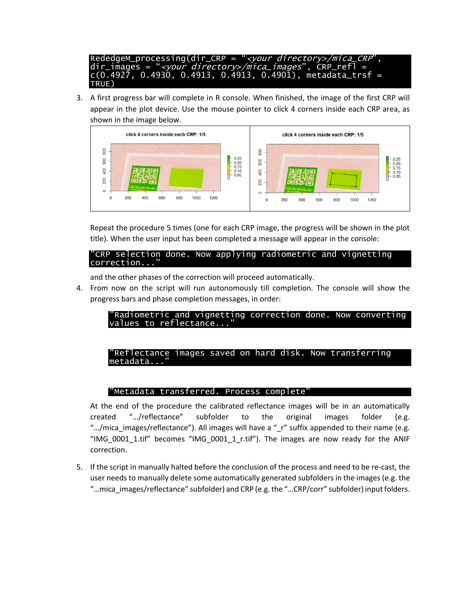RededgeM\_processing(dir\_CRP = "<your directory>/mica\_CRP", dir\_images = "*<your directory>/mica\_images*", CRP\_refl = c(0.4927, 0.4930, 0.4913, 0.4913, 0.4901), metadata\_trsf = TRUE)

3. A first progress bar will complete in R console. When finished, the image of the first CRP will appear in the plot device. Use the mouse pointer to click 4 corners inside each CRP area, as shown in the image below.



Repeat the procedure 5 times (one for each CRP image, the progress will be shown in the plot title). When the user input has been completed a message will appear in the console:

"CRP selection done. Now applying radiometric and vignetting correction.

and the other phases of the correction will proceed automatically.

4. From now on the script will run autonomously till completion. The console will show the progress bars and phase completion messages, in order:

#### "Radiometric and vignetting correction done. Now converting values to reflectance

#### Reflectance images saved on hard disk. Now transferring metadata.

#### "Metadata transferred. Process complete"

At the end of the procedure the calibrated reflectance images will be in an automatically created "…/reflectance" subfolder to the original images folder (e.g. ".../mica images/reflectance"). All images will have a " r" suffix appended to their name (e.g. "IMG\_0001\_1.tif" becomes "IMG\_0001\_1\_r.tif"). The images are now ready for the ANIF correction.

5. If the script in manually halted before the conclusion of the process and need to be re-cast, the user needs to manually delete some automatically generated subfolders in the images (e.g. the "…mica\_images/reflectance" subfolder) and CRP (e.g. the "…CRP/corr" subfolder) input folders.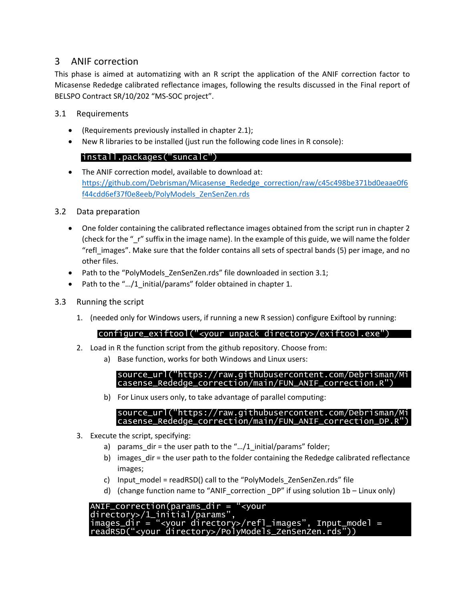## 3 ANIF correction

This phase is aimed at automatizing with an R script the application of the ANIF correction factor to Micasense Rededge calibrated reflectance images, following the results discussed in the Final report of BELSPO Contract SR/10/202 "MS-SOC project".

#### 3.1 Requirements

- (Requirements previously installed in chapter 2.1);
- New R libraries to be installed (just run the following code lines in R console):

### install.packages("suncalc")

• The ANIF correction model, available to download at: [https://github.com/Debrisman/Micasense\\_Rededge\\_correction/raw/c45c498be371bd0eaae0f6](https://github.com/Debrisman/Micasense_Rededge_correction/raw/c45c498be371bd0eaae0f6f44cdd6ef37f0e8eeb/PolyModels_ZenSenZen.rds) [f44cdd6ef37f0e8eeb/PolyModels\\_ZenSenZen.rds](https://github.com/Debrisman/Micasense_Rededge_correction/raw/c45c498be371bd0eaae0f6f44cdd6ef37f0e8eeb/PolyModels_ZenSenZen.rds)

#### 3.2 Data preparation

- One folder containing the calibrated reflectance images obtained from the script run in chapter 2 (check for the " r" suffix in the image name). In the example of this guide, we will name the folder "refl\_images". Make sure that the folder contains all sets of spectral bands (5) per image, and no other files.
- Path to the "PolyModels ZenSenZen.rds" file downloaded in section 3.1;
- Path to the ".../1 initial/params" folder obtained in chapter 1.
- 3.3 Running the script
	- 1. (needed only for Windows users, if running a new R session) configure Exiftool by running:

#### configure\_exiftool("<your unpack directory>/exiftool.exe")

- 2. Load in R the function script from the github repository. Choose from:
	- a) Base function, works for both Windows and Linux users:

source\_url("https://raw.githubusercontent.com/Debrisman/Mi casense\_Rededge\_correction/main/FUN\_ANIF\_correction.R")

b) For Linux users only, to take advantage of parallel computing:

#### source\_url("https://raw.githubusercontent.com/Debrisman/Mi casense\_Rededge\_correction/main/FUN\_ANIF\_correction\_DP.R")

- 3. Execute the script, specifying:
	- a) params dir = the user path to the "... $/1$  initial/params" folder;
	- b) images  $\text{dir} = \text{the user path to the folder containing the Rededge calibrated reflectance}$ images;
	- c) Input model = readRSD() call to the "PolyModels ZenSenZen.rds" file
	- d) (change function name to "ANIF correction  $DP''$  if using solution 1b Linux only)

| ANIF_correction(params_dir = " <your< th=""><th></th></your<>    |  |
|------------------------------------------------------------------|--|
| directory>/1_initial/params",                                    |  |
| $images_dir = "/refl1images", input_model =$                     |  |
| readRSD(" <your directory="">/PolyModels_zenSenZen.rds"))</your> |  |